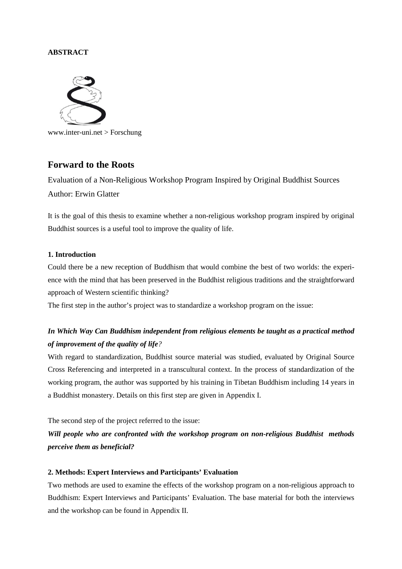# **ABSTRACT**



www.inter-uni.net > Forschung

# **Forward to the Roots**

Evaluation of a Non-Religious Workshop Program Inspired by Original Buddhist Sources Author: Erwin Glatter

It is the goal of this thesis to examine whether a non-religious workshop program inspired by original Buddhist sources is a useful tool to improve the quality of life.

# **1. Introduction**

Could there be a new reception of Buddhism that would combine the best of two worlds: the experience with the mind that has been preserved in the Buddhist religious traditions and the straightforward approach of Western scientific thinking?

The first step in the author's project was to standardize a workshop program on the issue:

# *In Which Way Can Buddhism independent from religious elements be taught as a practical method of improvement of the quality of life?*

With regard to standardization, Buddhist source material was studied, evaluated by Original Source Cross Referencing and interpreted in a transcultural context. In the process of standardization of the working program, the author was supported by his training in Tibetan Buddhism including 14 years in a Buddhist monastery. Details on this first step are given in Appendix I.

The second step of the project referred to the issue:

*Will people who are confronted with the workshop program on non-religious Buddhist methods perceive them as beneficial?* 

## **2. Methods: Expert Interviews and Participants' Evaluation**

Two methods are used to examine the effects of the workshop program on a non-religious approach to Buddhism: Expert Interviews and Participants' Evaluation. The base material for both the interviews and the workshop can be found in Appendix II.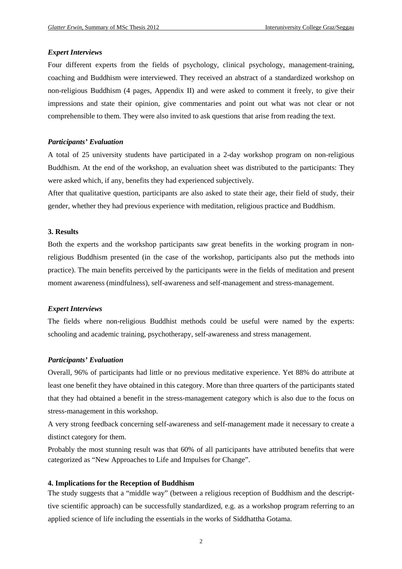#### *Expert Interviews*

Four different experts from the fields of psychology, clinical psychology, management-training, coaching and Buddhism were interviewed. They received an abstract of a standardized workshop on non-religious Buddhism (4 pages, Appendix II) and were asked to comment it freely, to give their impressions and state their opinion, give commentaries and point out what was not clear or not comprehensible to them. They were also invited to ask questions that arise from reading the text.

#### *Participants' Evaluation*

A total of 25 university students have participated in a 2-day workshop program on non-religious Buddhism. At the end of the workshop, an evaluation sheet was distributed to the participants: They were asked which, if any, benefits they had experienced subjectively.

After that qualitative question, participants are also asked to state their age, their field of study, their gender, whether they had previous experience with meditation, religious practice and Buddhism.

## **3. Results**

Both the experts and the workshop participants saw great benefits in the working program in nonreligious Buddhism presented (in the case of the workshop, participants also put the methods into practice). The main benefits perceived by the participants were in the fields of meditation and present moment awareness (mindfulness), self-awareness and self-management and stress-management.

### *Expert Interviews*

The fields where non-religious Buddhist methods could be useful were named by the experts: schooling and academic training, psychotherapy, self-awareness and stress management.

## *Participants' Evaluation*

Overall, 96% of participants had little or no previous meditative experience. Yet 88% do attribute at least one benefit they have obtained in this category. More than three quarters of the participants stated that they had obtained a benefit in the stress-management category which is also due to the focus on stress-management in this workshop.

A very strong feedback concerning self-awareness and self-management made it necessary to create a distinct category for them.

Probably the most stunning result was that 60% of all participants have attributed benefits that were categorized as "New Approaches to Life and Impulses for Change".

## **4. Implications for the Reception of Buddhism**

The study suggests that a "middle way" (between a religious reception of Buddhism and the descripttive scientific approach) can be successfully standardized, e.g. as a workshop program referring to an applied science of life including the essentials in the works of Siddhattha Gotama.